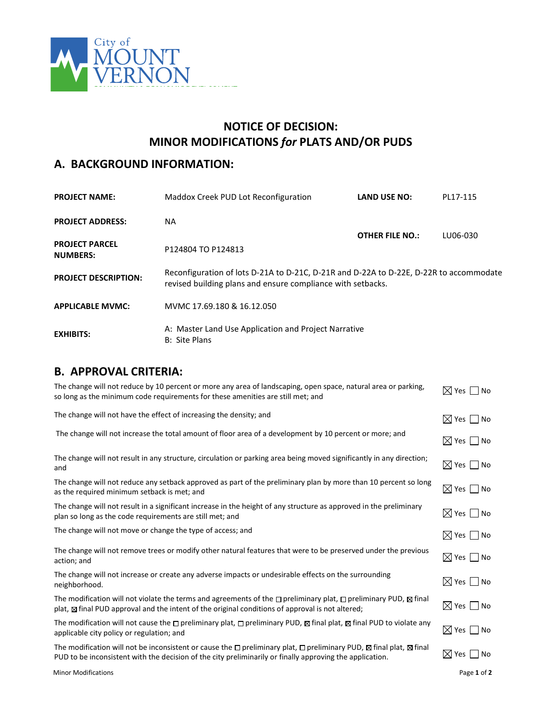

# **NOTICE OF DECISION: MINOR MODIFICATIONS** *for* **PLATS AND/OR PUDS**

# **A. BACKGROUND INFORMATION:**

| <b>PROJECT NAME:</b>                     | Maddox Creek PUD Lot Reconfiguration                                                                                                                  | <b>LAND USE NO:</b>    | PL17-115 |
|------------------------------------------|-------------------------------------------------------------------------------------------------------------------------------------------------------|------------------------|----------|
| <b>PROJECT ADDRESS:</b>                  | ΝA                                                                                                                                                    |                        |          |
| <b>PROJECT PARCEL</b><br><b>NUMBERS:</b> | P124804 TO P124813                                                                                                                                    | <b>OTHER FILE NO.:</b> | LU06-030 |
| <b>PROJECT DESCRIPTION:</b>              | Reconfiguration of lots D-21A to D-21C, D-21R and D-22A to D-22E, D-22R to accommodate<br>revised building plans and ensure compliance with setbacks. |                        |          |
| <b>APPLICABLE MVMC:</b>                  | MVMC 17.69.180 & 16.12.050                                                                                                                            |                        |          |
| <b>EXHIBITS:</b>                         | A: Master Land Use Application and Project Narrative<br>B: Site Plans                                                                                 |                        |          |

### **B. APPROVAL CRITERIA:**

| The change will not reduce by 10 percent or more any area of landscaping, open space, natural area or parking,<br>so long as the minimum code requirements for these amenities are still met; and                                                             | $\boxtimes$ Yes $\Box$ No   |
|---------------------------------------------------------------------------------------------------------------------------------------------------------------------------------------------------------------------------------------------------------------|-----------------------------|
| The change will not have the effect of increasing the density; and                                                                                                                                                                                            | $\boxtimes$ Yes $\Box$ No   |
| The change will not increase the total amount of floor area of a development by 10 percent or more; and                                                                                                                                                       | $\boxtimes$ Yes $\,\Box$ No |
| The change will not result in any structure, circulation or parking area being moved significantly in any direction;<br>and                                                                                                                                   | $\boxtimes$ Yes $\Box$ No   |
| The change will not reduce any setback approved as part of the preliminary plan by more than 10 percent so long<br>as the required minimum setback is met; and                                                                                                | $\boxtimes$ Yes $\Box$ No   |
| The change will not result in a significant increase in the height of any structure as approved in the preliminary<br>plan so long as the code requirements are still met; and                                                                                | $\boxtimes$ Yes $\,\Box$ No |
| The change will not move or change the type of access; and                                                                                                                                                                                                    | $\boxtimes$ Yes $\Box$ No   |
| The change will not remove trees or modify other natural features that were to be preserved under the previous<br>action; and                                                                                                                                 | $\boxtimes$ Yes $\Box$ No   |
| The change will not increase or create any adverse impacts or undesirable effects on the surrounding<br>neighborhood.                                                                                                                                         | $\boxtimes$ Yes $\,\Box$ No |
| The modification will not violate the terms and agreements of the $\Box$ preliminary plat, $\Box$ preliminary PUD, $\boxtimes$ final<br>plat, $\boxtimes$ final PUD approval and the intent of the original conditions of approval is not altered;            | $\boxtimes$ Yes $\,\Box$ No |
| The modification will not cause the $\Box$ preliminary plat, $\Box$ preliminary PUD, $\boxtimes$ final plat, $\boxtimes$ final PUD to violate any<br>applicable city policy or regulation; and                                                                | $\boxtimes$ Yes $\Box$ No   |
| The modification will not be inconsistent or cause the $\Box$ preliminary plat, $\Box$ preliminary PUD, $\boxtimes$ final plat, $\boxtimes$ final<br>PUD to be inconsistent with the decision of the city preliminarily or finally approving the application. | $\boxtimes$ Yes $\Box$ No   |
| <b>Minor Modifications</b>                                                                                                                                                                                                                                    | Page 1 of 2                 |